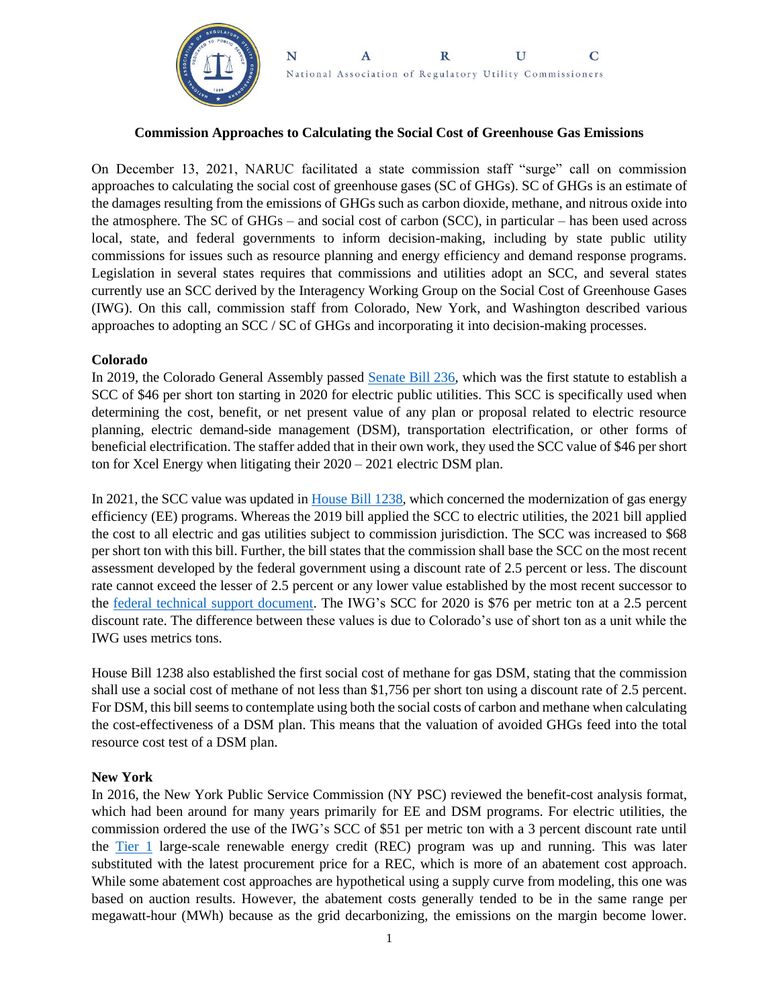

#### N  $\overline{C}$  $\mathbf{A}$  $\mathbf R$ U National Association of Regulatory Utility Commissioners

## **Commission Approaches to Calculating the Social Cost of Greenhouse Gas Emissions**

On December 13, 2021, NARUC facilitated a state commission staff "surge" call on commission approaches to calculating the social cost of greenhouse gases (SC of GHGs). SC of GHGs is an estimate of the damages resulting from the emissions of GHGs such as carbon dioxide, methane, and nitrous oxide into the atmosphere. The SC of GHGs – and social cost of carbon (SCC), in particular – has been used across local, state, and federal governments to inform decision-making, including by state public utility commissions for issues such as resource planning and energy efficiency and demand response programs. Legislation in several states requires that commissions and utilities adopt an SCC, and several states currently use an SCC derived by the Interagency Working Group on the Social Cost of Greenhouse Gases (IWG). On this call, commission staff from Colorado, New York, and Washington described various approaches to adopting an SCC / SC of GHGs and incorporating it into decision-making processes.

#### **Colorado**

In 2019, the Colorado General Assembly passed [Senate Bill 236,](https://leg.colorado.gov/sites/default/files/documents/2019A/bills/2019a_236_enr.pdf) which was the first statute to establish a SCC of \$46 per short ton starting in 2020 for electric public utilities. This SCC is specifically used when determining the cost, benefit, or net present value of any plan or proposal related to electric resource planning, electric demand-side management (DSM), transportation electrification, or other forms of beneficial electrification. The staffer added that in their own work, they used the SCC value of \$46 per short ton for Xcel Energy when litigating their 2020 – 2021 electric DSM plan.

In 2021, the SCC value was updated in [House Bill 1238,](https://leg.colorado.gov/bills/hb21-1238) which concerned the modernization of gas energy efficiency (EE) programs. Whereas the 2019 bill applied the SCC to electric utilities, the 2021 bill applied the cost to all electric and gas utilities subject to commission jurisdiction. The SCC was increased to \$68 per short ton with this bill. Further, the bill states that the commission shall base the SCC on the most recent assessment developed by the federal government using a discount rate of 2.5 percent or less. The discount rate cannot exceed the lesser of 2.5 percent or any lower value established by the most recent successor to the [federal technical support document.](https://www.whitehouse.gov/wp-content/uploads/2021/02/TechnicalSupportDocument_SocialCostofCarbonMethaneNitrousOxide.pdf) The IWG's SCC for 2020 is \$76 per metric ton at a 2.5 percent discount rate. The difference between these values is due to Colorado's use of short ton as a unit while the IWG uses metrics tons.

House Bill 1238 also established the first social cost of methane for gas DSM, stating that the commission shall use a social cost of methane of not less than \$1,756 per short ton using a discount rate of 2.5 percent. For DSM, this bill seems to contemplate using both the social costs of carbon and methane when calculating the cost-effectiveness of a DSM plan. This means that the valuation of avoided GHGs feed into the total resource cost test of a DSM plan.

## **New York**

In 2016, the New York Public Service Commission (NY PSC) reviewed the benefit-cost analysis format, which had been around for many years primarily for EE and DSM programs. For electric utilities, the commission ordered the use of the IWG's SCC of \$51 per metric ton with a 3 percent discount rate until the [Tier 1](https://www.nyserda.ny.gov/All-Programs/Clean-Energy-Standard/Renewable-Generators-and-Developers/RES-Tier-One-Eligibility) large-scale renewable energy credit (REC) program was up and running. This was later substituted with the latest procurement price for a REC, which is more of an abatement cost approach. While some abatement cost approaches are hypothetical using a supply curve from modeling, this one was based on auction results. However, the abatement costs generally tended to be in the same range per megawatt-hour (MWh) because as the grid decarbonizing, the emissions on the margin become lower.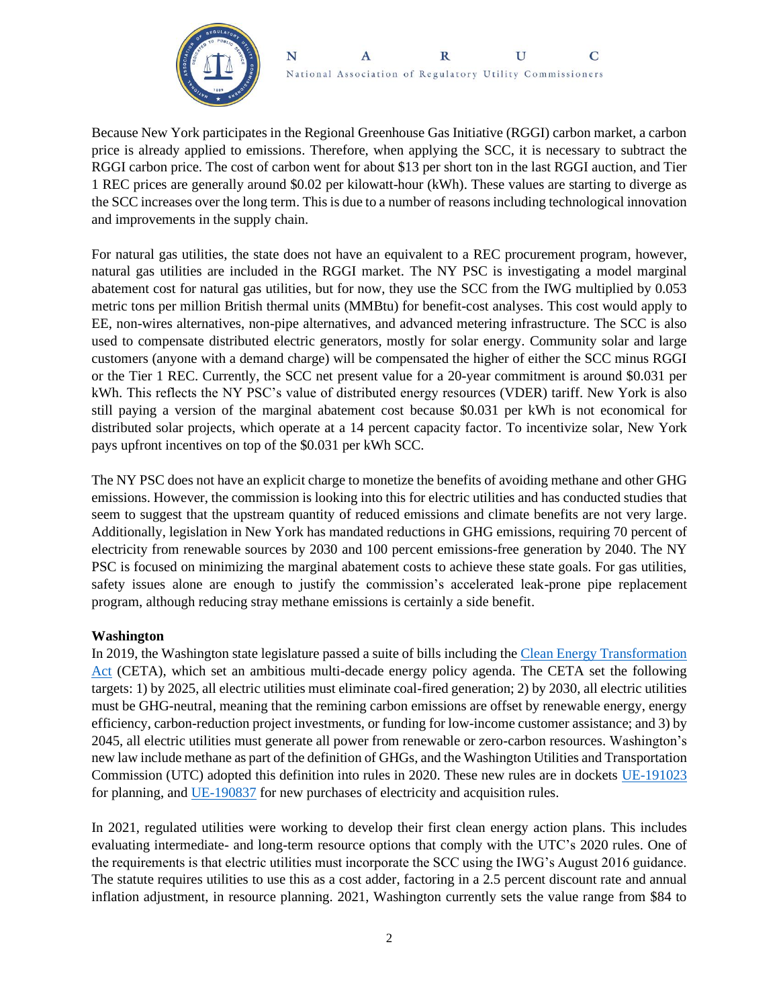

Because New York participates in the Regional Greenhouse Gas Initiative (RGGI) carbon market, a carbon price is already applied to emissions. Therefore, when applying the SCC, it is necessary to subtract the RGGI carbon price. The cost of carbon went for about \$13 per short ton in the last RGGI auction, and Tier 1 REC prices are generally around \$0.02 per kilowatt-hour (kWh). These values are starting to diverge as the SCC increases over the long term. This is due to a number of reasons including technological innovation and improvements in the supply chain.

For natural gas utilities, the state does not have an equivalent to a REC procurement program, however, natural gas utilities are included in the RGGI market. The NY PSC is investigating a model marginal abatement cost for natural gas utilities, but for now, they use the SCC from the IWG multiplied by 0.053 metric tons per million British thermal units (MMBtu) for benefit-cost analyses. This cost would apply to EE, non-wires alternatives, non-pipe alternatives, and advanced metering infrastructure. The SCC is also used to compensate distributed electric generators, mostly for solar energy. Community solar and large customers (anyone with a demand charge) will be compensated the higher of either the SCC minus RGGI or the Tier 1 REC. Currently, the SCC net present value for a 20-year commitment is around \$0.031 per kWh. This reflects the NY PSC's value of distributed energy resources (VDER) tariff. New York is also still paying a version of the marginal abatement cost because \$0.031 per kWh is not economical for distributed solar projects, which operate at a 14 percent capacity factor. To incentivize solar, New York pays upfront incentives on top of the \$0.031 per kWh SCC.

The NY PSC does not have an explicit charge to monetize the benefits of avoiding methane and other GHG emissions. However, the commission is looking into this for electric utilities and has conducted studies that seem to suggest that the upstream quantity of reduced emissions and climate benefits are not very large. Additionally, legislation in New York has mandated reductions in GHG emissions, requiring 70 percent of electricity from renewable sources by 2030 and 100 percent emissions-free generation by 2040. The NY PSC is focused on minimizing the marginal abatement costs to achieve these state goals. For gas utilities, safety issues alone are enough to justify the commission's accelerated leak-prone pipe replacement program, although reducing stray methane emissions is certainly a side benefit.

# **Washington**

In 2019, the Washington state legislature passed a suite of bills including the [Clean Energy Transformation](https://lawfilesext.leg.wa.gov/biennium/2019-20/Pdf/Bills/Session%20Laws/Senate/5116-S2.SL.pdf?q=20210822161309)  [Act](https://lawfilesext.leg.wa.gov/biennium/2019-20/Pdf/Bills/Session%20Laws/Senate/5116-S2.SL.pdf?q=20210822161309) (CETA), which set an ambitious multi-decade energy policy agenda. The CETA set the following targets: 1) by 2025, all electric utilities must eliminate coal-fired generation; 2) by 2030, all electric utilities must be GHG-neutral, meaning that the remining carbon emissions are offset by renewable energy, energy efficiency, carbon-reduction project investments, or funding for low-income customer assistance; and 3) by 2045, all electric utilities must generate all power from renewable or zero-carbon resources. Washington's new law include methane as part of the definition of GHGs, and the Washington Utilities and Transportation Commission (UTC) adopted this definition into rules in 2020. These new rules are in dockets [UE-191023](https://www.utc.wa.gov/casedocket/2019/191023) for planning, and [UE-190837](https://www.utc.wa.gov/casedocket/2019/190837) for new purchases of electricity and acquisition rules.

In 2021, regulated utilities were working to develop their first clean energy action plans. This includes evaluating intermediate- and long-term resource options that comply with the UTC's 2020 rules. One of the requirements is that electric utilities must incorporate the SCC using the IWG's August 2016 guidance. The statute requires utilities to use this as a cost adder, factoring in a 2.5 percent discount rate and annual inflation adjustment, in resource planning. 2021, Washington currently sets the value range from \$84 to